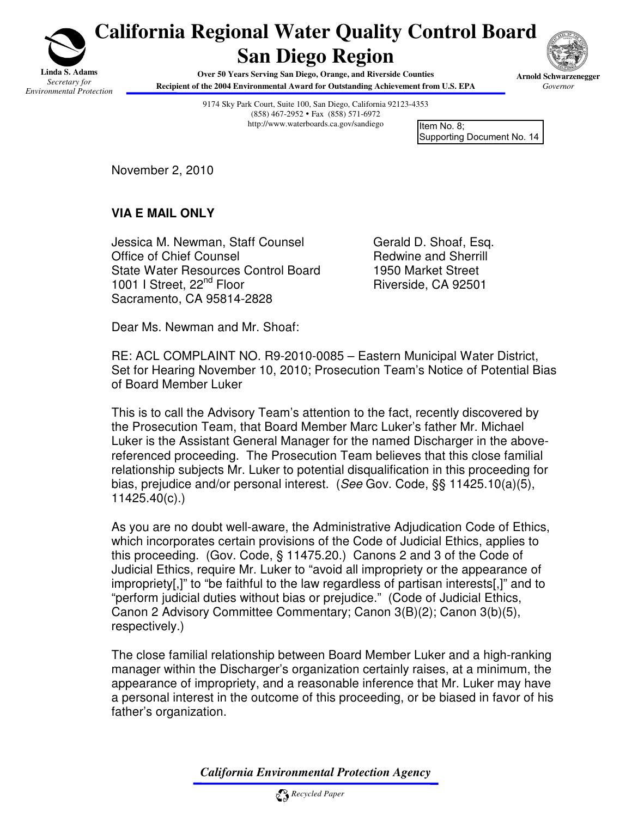

## **California Regional Water Quality Control Board San Diego Region**

**Over 50 Years Serving San Diego, Orange, and Riverside Counties Recipient of the 2004 Environmental Award for Outstanding Achievement from U.S. EPA**  **Arnold Schwarzenegger** 

*Governor*

9174 Sky Park Court, Suite 100, San Diego, California 92123-4353 (858) 467-2952 Fax (858) 571-6972 http://www.waterboards.ca.gov/sandiego

Item No. 8; Supporting Document No. 14

November 2, 2010

**VIA E MAIL ONLY** 

Jessica M. Newman, Staff Counsel Office of Chief Counsel State Water Resources Control Board 1001 I Street, 22<sup>nd</sup> Floor Sacramento, CA 95814-2828

 Gerald D. Shoaf, Esq. Redwine and Sherrill 1950 Market Street Riverside, CA 92501

Dear Ms. Newman and Mr. Shoaf:

RE: ACL COMPLAINT NO. R9-2010-0085 – Eastern Municipal Water District, Set for Hearing November 10, 2010; Prosecution Team's Notice of Potential Bias of Board Member Luker

This is to call the Advisory Team's attention to the fact, recently discovered by the Prosecution Team, that Board Member Marc Luker's father Mr. Michael Luker is the Assistant General Manager for the named Discharger in the abovereferenced proceeding. The Prosecution Team believes that this close familial relationship subjects Mr. Luker to potential disqualification in this proceeding for bias, prejudice and/or personal interest. (See Gov. Code, §§ 11425.10(a)(5), 11425.40(c).)

As you are no doubt well-aware, the Administrative Adjudication Code of Ethics, which incorporates certain provisions of the Code of Judicial Ethics, applies to this proceeding. (Gov. Code, § 11475.20.) Canons 2 and 3 of the Code of Judicial Ethics, require Mr. Luker to "avoid all impropriety or the appearance of impropriety[,]" to "be faithful to the law regardless of partisan interests[,]" and to "perform judicial duties without bias or prejudice." (Code of Judicial Ethics, Canon 2 Advisory Committee Commentary; Canon 3(B)(2); Canon 3(b)(5), respectively.)

The close familial relationship between Board Member Luker and a high-ranking manager within the Discharger's organization certainly raises, at a minimum, the appearance of impropriety, and a reasonable inference that Mr. Luker may have a personal interest in the outcome of this proceeding, or be biased in favor of his father's organization.

*California Environmental Protection Agency*